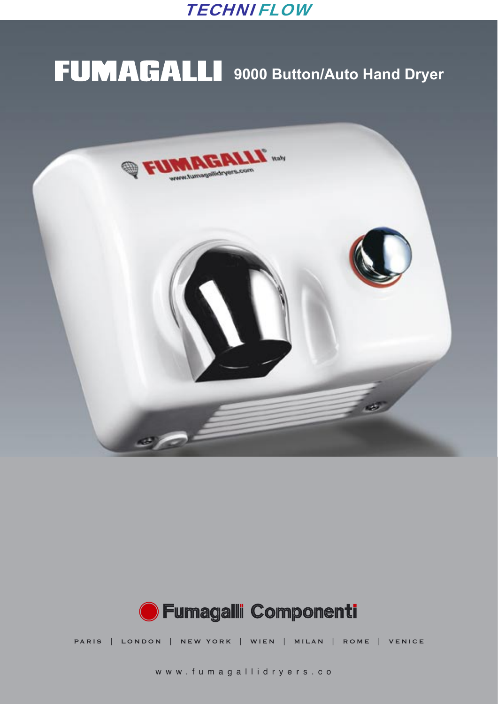

# **FUMAGALLI** 9000 Button/Auto Hand Dryer





PARIS | LONDON | NEW YORK | WIEN | MILAN | ROME | VENICE

www.fumagallidryers.co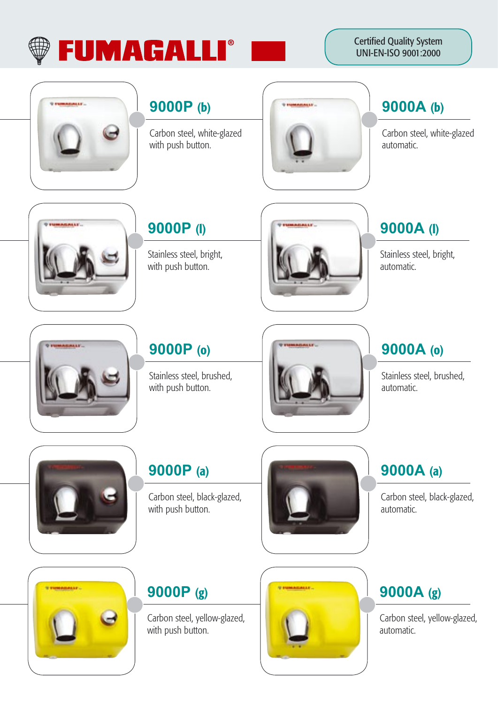

Certified Quality System UNI-EN-ISO 9001:2000



#### **9000P** (b)

Carbon steel, white-glazed with push button.



#### **9000A** (b)

Carbon steel, white-glazed automatic.



#### **9000P** (l)

Stainless steel, bright, with push button.



### **9000P** (o)

Stainless steel, brushed, with push button.





#### **9000P** (a)

Carbon steel, black-glazed, with push button.





#### **9000P** (g)

Carbon steel, yellow-glazed, with push button.



#### **9000A** (l)

Stainless steel, bright, automatic.

### **9000A** (o)

Stainless steel, brushed, automatic.

### **9000A** (a)

Carbon steel, black-glazed, automatic.

## **9000A** (g)

Carbon steel, yellow-glazed, automatic.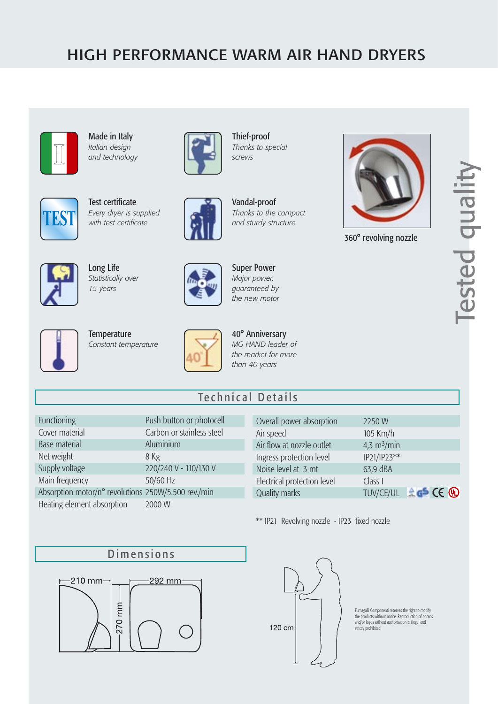#### HIGH PERFORMANCE WARM AIR HAND DRYERS



Made in Italy *Italian design and technology*



Test certificate *Every dryer is supplied with test certificate*



Thief-proof *Thanks to special screws*



Vandal-proof *Thanks to the compact and sturdy structure*



360° revolving nozzle





Long Life *Statistically over 15 years*



Super Power *Major power, guaranteed by the new motor*



**Temperature** *Constant temperature*



40° Anniversary *MG HAND leader of the market for more than 40 years* 

#### Technical Details

| Functioning                                         | Push button or photocell  |
|-----------------------------------------------------|---------------------------|
| Cover material                                      | Carbon or stainless steel |
| <b>Base material</b>                                | Aluminium                 |
| Net weight                                          | 8 Kg                      |
| Supply voltage                                      | 220/240 V - 110/130 V     |
| Main frequency                                      | 50/60 Hz                  |
| Absorption motor/n° revolutions 250W/5.500 rev./min |                           |
| Heating element absorption                          | 2000 W                    |

| Overall power absorption    | 2250W                               |
|-----------------------------|-------------------------------------|
| Air speed                   | 105 Km/h                            |
| Air flow at nozzle outlet   | 4,3 $m^3/m$ in                      |
| Ingress protection level    | IP21/IP23**                         |
| Noise level at 3 mt         | 63,9 dBA                            |
| Electrical protection level | Class I                             |
| <b>Quality marks</b>        | $A \in$ CE $\mathbb Q$<br>TUV/CE/UL |

\*\* IP21 Revolving nozzle - IP23 fixed nozzle





Fumagalli Componenti reserves the right to modify the products without notice. Reproduction of photos and/or logos without authorisation is illegal and strictly prohibited.